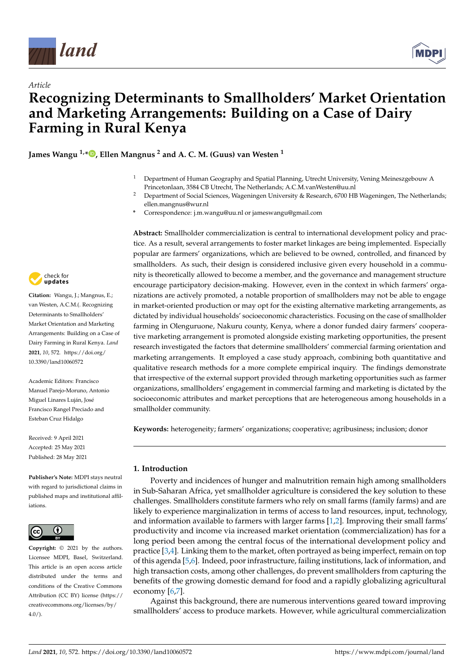

*Article*



# **Recognizing Determinants to Smallholders' Market Orientation and Marketing Arrangements: Building on a Case of Dairy Farming in Rural Kenya**

**James Wangu 1,\* [,](https://orcid.org/0000-0001-5344-9512) Ellen Mangnus <sup>2</sup> and A. C. M. (Guus) van Westen <sup>1</sup>**

- <sup>1</sup> Department of Human Geography and Spatial Planning, Utrecht University, Vening Meineszgebouw A Princetonlaan, 3584 CB Utrecht, The Netherlands; A.C.M.vanWesten@uu.nl
- <sup>2</sup> Department of Social Sciences, Wageningen University & Research, 6700 HB Wageningen, The Netherlands; ellen.mangnus@wur.nl
- **\*** Correspondence: j.m.wangu@uu.nl or jameswangu@gmail.com

**Abstract:** Smallholder commercialization is central to international development policy and practice. As a result, several arrangements to foster market linkages are being implemented. Especially popular are farmers' organizations, which are believed to be owned, controlled, and financed by smallholders. As such, their design is considered inclusive given every household in a community is theoretically allowed to become a member, and the governance and management structure encourage participatory decision-making. However, even in the context in which farmers' organizations are actively promoted, a notable proportion of smallholders may not be able to engage in market-oriented production or may opt for the existing alternative marketing arrangements, as dictated by individual households' socioeconomic characteristics. Focusing on the case of smallholder farming in Olenguruone, Nakuru county, Kenya, where a donor funded dairy farmers' cooperative marketing arrangement is promoted alongside existing marketing opportunities, the present research investigated the factors that determine smallholders' commercial farming orientation and marketing arrangements. It employed a case study approach, combining both quantitative and qualitative research methods for a more complete empirical inquiry. The findings demonstrate that irrespective of the external support provided through marketing opportunities such as farmer organizations, smallholders' engagement in commercial farming and marketing is dictated by the socioeconomic attributes and market perceptions that are heterogeneous among households in a smallholder community.

**Keywords:** heterogeneity; farmers' organizations; cooperative; agribusiness; inclusion; donor

# **1. Introduction**

Poverty and incidences of hunger and malnutrition remain high among smallholders in Sub-Saharan Africa, yet smallholder agriculture is considered the key solution to these challenges. Smallholders constitute farmers who rely on small farms (family farms) and are likely to experience marginalization in terms of access to land resources, input, technology, and information available to farmers with larger farms [\[1](#page-12-0)[,2\]](#page-12-1). Improving their small farms' productivity and income via increased market orientation (commercialization) has for a long period been among the central focus of the international development policy and practice [\[3,](#page-12-2)[4\]](#page-12-3). Linking them to the market, often portrayed as being imperfect, remain on top of this agenda [\[5,](#page-12-4)[6\]](#page-12-5). Indeed, poor infrastructure, failing institutions, lack of information, and high transaction costs, among other challenges, do prevent smallholders from capturing the benefits of the growing domestic demand for food and a rapidly globalizing agricultural economy [\[6](#page-12-5)[,7\]](#page-12-6).

Against this background, there are numerous interventions geared toward improving smallholders' access to produce markets. However, while agricultural commercialization



**Citation:** Wangu, J.; Mangnus, E.; van Westen, A.C.M.(. Recognizing Determinants to Smallholders' Market Orientation and Marketing Arrangements: Building on a Case of Dairy Farming in Rural Kenya. *Land* **2021**, *10*, 572. [https://doi.org/](https://doi.org/10.3390/land10060572) [10.3390/land10060572](https://doi.org/10.3390/land10060572)

Academic Editors: Francisco Manuel Parejo-Moruno, Antonio Miguel Linares Luján, José Francisco Rangel Preciado and Esteban Cruz Hidalgo

Received: 9 April 2021 Accepted: 25 May 2021 Published: 28 May 2021

**Publisher's Note:** MDPI stays neutral with regard to jurisdictional claims in published maps and institutional affiliations.



**Copyright:** © 2021 by the authors. Licensee MDPI, Basel, Switzerland. This article is an open access article distributed under the terms and conditions of the Creative Commons Attribution (CC BY) license (https:/[/](https://creativecommons.org/licenses/by/4.0/) [creativecommons.org/licenses/by/](https://creativecommons.org/licenses/by/4.0/)  $4.0/$ ).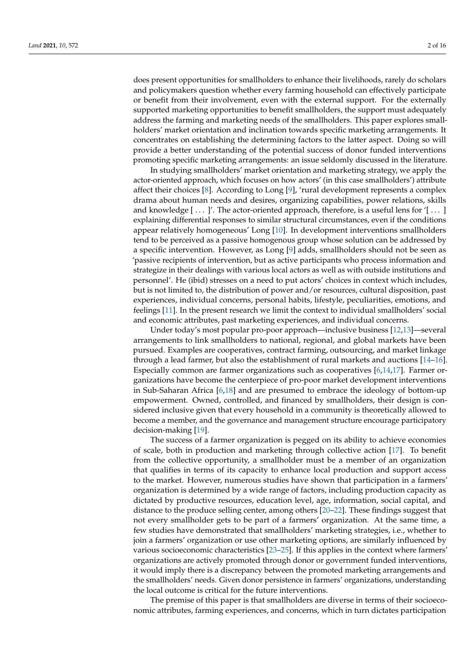does present opportunities for smallholders to enhance their livelihoods, rarely do scholars and policymakers question whether every farming household can effectively participate or benefit from their involvement, even with the external support. For the externally supported marketing opportunities to benefit smallholders, the support must adequately address the farming and marketing needs of the smallholders. This paper explores smallholders' market orientation and inclination towards specific marketing arrangements. It concentrates on establishing the determining factors to the latter aspect. Doing so will provide a better understanding of the potential success of donor funded interventions promoting specific marketing arrangements: an issue seldomly discussed in the literature.

In studying smallholders' market orientation and marketing strategy, we apply the actor-oriented approach, which focuses on how actors' (in this case smallholders') attribute affect their choices [\[8\]](#page-12-7). According to Long [\[9\]](#page-12-8), 'rural development represents a complex drama about human needs and desires, organizing capabilities, power relations, skills and knowledge  $[\dots]'$ . The actor-oriented approach, therefore, is a useful lens for ' $[\dots]$ explaining differential responses to similar structural circumstances, even if the conditions appear relatively homogeneous' Long [\[10\]](#page-12-9). In development interventions smallholders tend to be perceived as a passive homogenous group whose solution can be addressed by a specific intervention. However, as Long [\[9\]](#page-12-8) adds, smallholders should not be seen as 'passive recipients of intervention, but as active participants who process information and strategize in their dealings with various local actors as well as with outside institutions and personnel'. He (ibid) stresses on a need to put actors' choices in context which includes, but is not limited to, the distribution of power and/or resources, cultural disposition, past experiences, individual concerns, personal habits, lifestyle, peculiarities, emotions, and feelings [\[11\]](#page-12-10). In the present research we limit the context to individual smallholders' social and economic attributes, past marketing experiences, and individual concerns.

Under today's most popular pro-poor approach—inclusive business [\[12,](#page-12-11)[13\]](#page-12-12)—several arrangements to link smallholders to national, regional, and global markets have been pursued. Examples are cooperatives, contract farming, outsourcing, and market linkage through a lead farmer, but also the establishment of rural markets and auctions [\[14](#page-12-13)[–16\]](#page-12-14). Especially common are farmer organizations such as cooperatives [\[6,](#page-12-5)[14,](#page-12-13)[17\]](#page-12-15). Farmer organizations have become the centerpiece of pro-poor market development interventions in Sub-Saharan Africa [\[6](#page-12-5)[,18\]](#page-12-16) and are presumed to embrace the ideology of bottom-up empowerment. Owned, controlled, and financed by smallholders, their design is considered inclusive given that every household in a community is theoretically allowed to become a member, and the governance and management structure encourage participatory decision-making [\[19\]](#page-12-17).

The success of a farmer organization is pegged on its ability to achieve economies of scale, both in production and marketing through collective action [\[17\]](#page-12-15). To benefit from the collective opportunity, a smallholder must be a member of an organization that qualifies in terms of its capacity to enhance local production and support access to the market. However, numerous studies have shown that participation in a farmers' organization is determined by a wide range of factors, including production capacity as dictated by productive resources, education level, age, information, social capital, and distance to the produce selling center, among others [\[20–](#page-12-18)[22\]](#page-13-0). These findings suggest that not every smallholder gets to be part of a farmers' organization. At the same time, a few studies have demonstrated that smallholders' marketing strategies, i.e., whether to join a farmers' organization or use other marketing options, are similarly influenced by various socioeconomic characteristics [\[23](#page-13-1)[–25\]](#page-13-2). If this applies in the context where farmers' organizations are actively promoted through donor or government funded interventions, it would imply there is a discrepancy between the promoted marketing arrangements and the smallholders' needs. Given donor persistence in farmers' organizations, understanding the local outcome is critical for the future interventions.

The premise of this paper is that smallholders are diverse in terms of their socioeconomic attributes, farming experiences, and concerns, which in turn dictates participation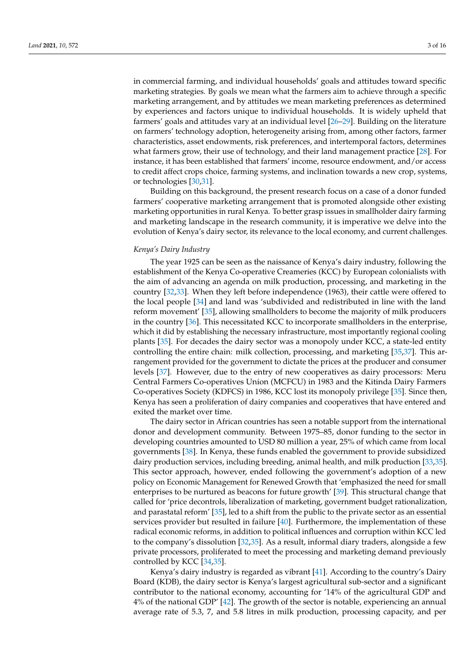in commercial farming, and individual households' goals and attitudes toward specific marketing strategies. By goals we mean what the farmers aim to achieve through a specific marketing arrangement, and by attitudes we mean marketing preferences as determined by experiences and factors unique to individual households. It is widely upheld that farmers' goals and attitudes vary at an individual level [\[26](#page-13-3)[–29\]](#page-13-4). Building on the literature on farmers' technology adoption, heterogeneity arising from, among other factors, farmer characteristics, asset endowments, risk preferences, and intertemporal factors, determines what farmers grow, their use of technology, and their land management practice [\[28\]](#page-13-5). For instance, it has been established that farmers' income, resource endowment, and/or access to credit affect crops choice, farming systems, and inclination towards a new crop, systems, or technologies [\[30,](#page-13-6)[31\]](#page-13-7).

Building on this background, the present research focus on a case of a donor funded farmers' cooperative marketing arrangement that is promoted alongside other existing marketing opportunities in rural Kenya. To better grasp issues in smallholder dairy farming and marketing landscape in the research community, it is imperative we delve into the evolution of Kenya's dairy sector, its relevance to the local economy, and current challenges.

## *Kenya's Dairy Industry*

The year 1925 can be seen as the naissance of Kenya's dairy industry, following the establishment of the Kenya Co-operative Creameries (KCC) by European colonialists with the aim of advancing an agenda on milk production, processing, and marketing in the country [\[32,](#page-13-8)[33\]](#page-13-9). When they left before independence (1963), their cattle were offered to the local people [\[34\]](#page-13-10) and land was 'subdivided and redistributed in line with the land reform movement' [\[35\]](#page-13-11), allowing smallholders to become the majority of milk producers in the country [\[36\]](#page-13-12). This necessitated KCC to incorporate smallholders in the enterprise, which it did by establishing the necessary infrastructure, most importantly regional cooling plants [\[35\]](#page-13-11). For decades the dairy sector was a monopoly under KCC, a state-led entity controlling the entire chain: milk collection, processing, and marketing [\[35,](#page-13-11)[37\]](#page-13-13). This arrangement provided for the government to dictate the prices at the producer and consumer levels [\[37\]](#page-13-13). However, due to the entry of new cooperatives as dairy processors: Meru Central Farmers Co-operatives Union (MCFCU) in 1983 and the Kitinda Dairy Farmers Co-operatives Society (KDFCS) in 1986, KCC lost its monopoly privilege [\[35\]](#page-13-11). Since then, Kenya has seen a proliferation of dairy companies and cooperatives that have entered and exited the market over time.

The dairy sector in African countries has seen a notable support from the international donor and development community. Between 1975–85, donor funding to the sector in developing countries amounted to USD 80 million a year, 25% of which came from local governments [\[38\]](#page-13-14). In Kenya, these funds enabled the government to provide subsidized dairy production services, including breeding, animal health, and milk production [\[33](#page-13-9)[,35\]](#page-13-11). This sector approach, however, ended following the government's adoption of a new policy on Economic Management for Renewed Growth that 'emphasized the need for small enterprises to be nurtured as beacons for future growth' [\[39\]](#page-13-15). This structural change that called for 'price decontrols, liberalization of marketing, government budget rationalization, and parastatal reform' [\[35\]](#page-13-11), led to a shift from the public to the private sector as an essential services provider but resulted in failure [\[40\]](#page-13-16). Furthermore, the implementation of these radical economic reforms, in addition to political influences and corruption within KCC led to the company's dissolution [\[32](#page-13-8)[,35\]](#page-13-11). As a result, informal diary traders, alongside a few private processors, proliferated to meet the processing and marketing demand previously controlled by KCC [\[34,](#page-13-10)[35\]](#page-13-11).

Kenya's dairy industry is regarded as vibrant [\[41\]](#page-13-17). According to the country's Dairy Board (KDB), the dairy sector is Kenya's largest agricultural sub-sector and a significant contributor to the national economy, accounting for '14% of the agricultural GDP and 4% of the national GDP' [\[42\]](#page-13-18). The growth of the sector is notable, experiencing an annual average rate of 5.3, 7, and 5.8 litres in milk production, processing capacity, and per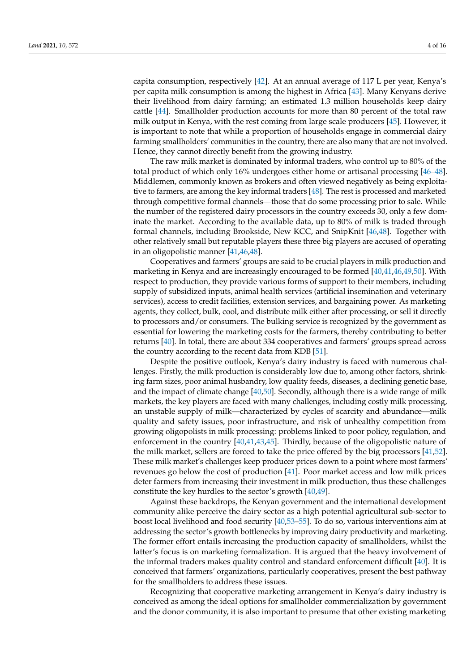capita consumption, respectively [\[42\]](#page-13-18). At an annual average of 117 L per year, Kenya's per capita milk consumption is among the highest in Africa [\[43\]](#page-13-19). Many Kenyans derive their livelihood from dairy farming; an estimated 1.3 million households keep dairy cattle [\[44\]](#page-13-20). Smallholder production accounts for more than 80 percent of the total raw milk output in Kenya, with the rest coming from large scale producers [\[45\]](#page-13-21). However, it is important to note that while a proportion of households engage in commercial dairy farming smallholders' communities in the country, there are also many that are not involved. Hence, they cannot directly benefit from the growing industry.

The raw milk market is dominated by informal traders, who control up to 80% of the total product of which only 16% undergoes either home or artisanal processing [\[46](#page-13-22)[–48\]](#page-13-23). Middlemen, commonly known as brokers and often viewed negatively as being exploitative to farmers, are among the key informal traders [\[48\]](#page-13-23). The rest is processed and marketed through competitive formal channels—those that do some processing prior to sale. While the number of the registered dairy processors in the country exceeds 30, only a few dominate the market. According to the available data, up to 80% of milk is traded through formal channels, including Brookside, New KCC, and SnipKnit [\[46](#page-13-22)[,48\]](#page-13-23). Together with other relatively small but reputable players these three big players are accused of operating in an oligopolistic manner [\[41](#page-13-17)[,46](#page-13-22)[,48\]](#page-13-23).

Cooperatives and farmers' groups are said to be crucial players in milk production and marketing in Kenya and are increasingly encouraged to be formed [\[40,](#page-13-16)[41,](#page-13-17)[46,](#page-13-22)[49,](#page-13-24)[50\]](#page-13-25). With respect to production, they provide various forms of support to their members, including supply of subsidized inputs, animal health services (artificial insemination and veterinary services), access to credit facilities, extension services, and bargaining power. As marketing agents, they collect, bulk, cool, and distribute milk either after processing, or sell it directly to processors and/or consumers. The bulking service is recognized by the government as essential for lowering the marketing costs for the farmers, thereby contributing to better returns [\[40\]](#page-13-16). In total, there are about 334 cooperatives and farmers' groups spread across the country according to the recent data from KDB [\[51\]](#page-13-26).

Despite the positive outlook, Kenya's dairy industry is faced with numerous challenges. Firstly, the milk production is considerably low due to, among other factors, shrinking farm sizes, poor animal husbandry, low quality feeds, diseases, a declining genetic base, and the impact of climate change  $[40,50]$  $[40,50]$ . Secondly, although there is a wide range of milk markets, the key players are faced with many challenges, including costly milk processing, an unstable supply of milk—characterized by cycles of scarcity and abundance—milk quality and safety issues, poor infrastructure, and risk of unhealthy competition from growing oligopolists in milk processing: problems linked to poor policy, regulation, and enforcement in the country [\[40](#page-13-16)[,41,](#page-13-17)[43](#page-13-19)[,45\]](#page-13-21). Thirdly, because of the oligopolistic nature of the milk market, sellers are forced to take the price offered by the big processors [\[41,](#page-13-17)[52\]](#page-14-0). These milk market's challenges keep producer prices down to a point where most farmers' revenues go below the cost of production [\[41\]](#page-13-17). Poor market access and low milk prices deter farmers from increasing their investment in milk production, thus these challenges constitute the key hurdles to the sector's growth [\[40](#page-13-16)[,49\]](#page-13-24).

Against these backdrops, the Kenyan government and the international development community alike perceive the dairy sector as a high potential agricultural sub-sector to boost local livelihood and food security [\[40,](#page-13-16)[53–](#page-14-1)[55\]](#page-14-2). To do so, various interventions aim at addressing the sector's growth bottlenecks by improving dairy productivity and marketing. The former effort entails increasing the production capacity of smallholders, whilst the latter's focus is on marketing formalization. It is argued that the heavy involvement of the informal traders makes quality control and standard enforcement difficult [\[40\]](#page-13-16). It is conceived that farmers' organizations, particularly cooperatives, present the best pathway for the smallholders to address these issues.

Recognizing that cooperative marketing arrangement in Kenya's dairy industry is conceived as among the ideal options for smallholder commercialization by government and the donor community, it is also important to presume that other existing marketing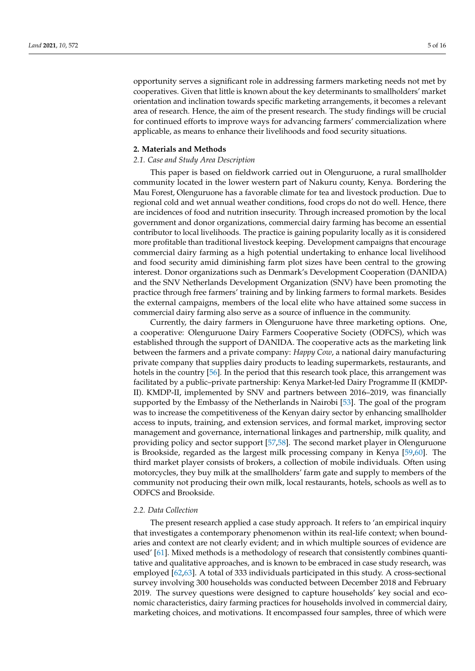opportunity serves a significant role in addressing farmers marketing needs not met by cooperatives. Given that little is known about the key determinants to smallholders' market orientation and inclination towards specific marketing arrangements, it becomes a relevant area of research. Hence, the aim of the present research. The study findings will be crucial for continued efforts to improve ways for advancing farmers' commercialization where applicable, as means to enhance their livelihoods and food security situations.

#### **2. Materials and Methods**

## *2.1. Case and Study Area Description*

This paper is based on fieldwork carried out in Olenguruone, a rural smallholder community located in the lower western part of Nakuru county, Kenya. Bordering the Mau Forest, Olenguruone has a favorable climate for tea and livestock production. Due to regional cold and wet annual weather conditions, food crops do not do well. Hence, there are incidences of food and nutrition insecurity. Through increased promotion by the local government and donor organizations, commercial dairy farming has become an essential contributor to local livelihoods. The practice is gaining popularity locally as it is considered more profitable than traditional livestock keeping. Development campaigns that encourage commercial dairy farming as a high potential undertaking to enhance local livelihood and food security amid diminishing farm plot sizes have been central to the growing interest. Donor organizations such as Denmark's Development Cooperation (DANIDA) and the SNV Netherlands Development Organization (SNV) have been promoting the practice through free farmers' training and by linking farmers to formal markets. Besides the external campaigns, members of the local elite who have attained some success in commercial dairy farming also serve as a source of influence in the community.

Currently, the dairy farmers in Olenguruone have three marketing options. One, a cooperative: Olenguruone Dairy Farmers Cooperative Society (ODFCS), which was established through the support of DANIDA. The cooperative acts as the marketing link between the farmers and a private company: *Happy Cow*, a national dairy manufacturing private company that supplies dairy products to leading supermarkets, restaurants, and hotels in the country [\[56\]](#page-14-3). In the period that this research took place, this arrangement was facilitated by a public–private partnership: Kenya Market-led Dairy Programme II (KMDP-II). KMDP-II, implemented by SNV and partners between 2016–2019, was financially supported by the Embassy of the Netherlands in Nairobi [\[53\]](#page-14-1). The goal of the program was to increase the competitiveness of the Kenyan dairy sector by enhancing smallholder access to inputs, training, and extension services, and formal market, improving sector management and governance, international linkages and partnership, milk quality, and providing policy and sector support [\[57](#page-14-4)[,58\]](#page-14-5). The second market player in Olenguruone is Brookside, regarded as the largest milk processing company in Kenya [\[59](#page-14-6)[,60\]](#page-14-7). The third market player consists of brokers, a collection of mobile individuals. Often using motorcycles, they buy milk at the smallholders' farm gate and supply to members of the community not producing their own milk, local restaurants, hotels, schools as well as to ODFCS and Brookside.

#### *2.2. Data Collection*

The present research applied a case study approach. It refers to 'an empirical inquiry that investigates a contemporary phenomenon within its real-life context; when boundaries and context are not clearly evident; and in which multiple sources of evidence are used' [\[61\]](#page-14-8). Mixed methods is a methodology of research that consistently combines quantitative and qualitative approaches, and is known to be embraced in case study research, was employed [\[62](#page-14-9)[,63\]](#page-14-10). A total of 333 individuals participated in this study. A cross-sectional survey involving 300 households was conducted between December 2018 and February 2019. The survey questions were designed to capture households' key social and economic characteristics, dairy farming practices for households involved in commercial dairy, marketing choices, and motivations. It encompassed four samples, three of which were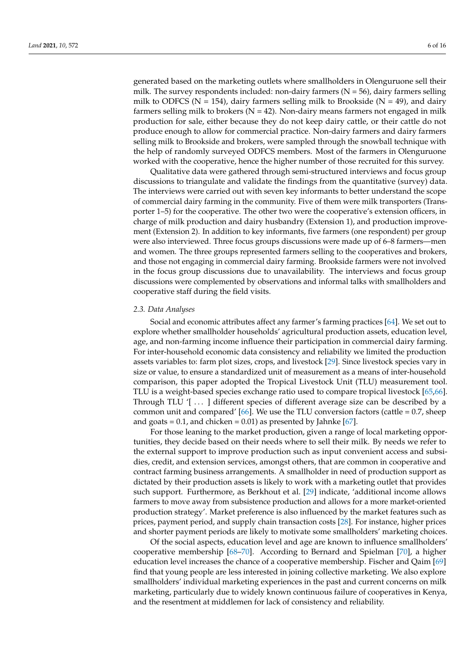generated based on the marketing outlets where smallholders in Olenguruone sell their milk. The survey respondents included: non-dairy farmers  $(N = 56)$ , dairy farmers selling milk to ODFCS ( $N = 154$ ), dairy farmers selling milk to Brookside ( $N = 49$ ), and dairy farmers selling milk to brokers ( $N = 42$ ). Non-dairy means farmers not engaged in milk production for sale, either because they do not keep dairy cattle, or their cattle do not produce enough to allow for commercial practice. Non-dairy farmers and dairy farmers selling milk to Brookside and brokers, were sampled through the snowball technique with the help of randomly surveyed ODFCS members. Most of the farmers in Olenguruone worked with the cooperative, hence the higher number of those recruited for this survey.

Qualitative data were gathered through semi-structured interviews and focus group discussions to triangulate and validate the findings from the quantitative (survey) data. The interviews were carried out with seven key informants to better understand the scope of commercial dairy farming in the community. Five of them were milk transporters (Transporter 1–5) for the cooperative. The other two were the cooperative's extension officers, in charge of milk production and dairy husbandry (Extension 1), and production improvement (Extension 2). In addition to key informants, five farmers (one respondent) per group were also interviewed. Three focus groups discussions were made up of 6–8 farmers—men and women. The three groups represented farmers selling to the cooperatives and brokers, and those not engaging in commercial dairy farming. Brookside farmers were not involved in the focus group discussions due to unavailability. The interviews and focus group discussions were complemented by observations and informal talks with smallholders and cooperative staff during the field visits.

#### *2.3. Data Analyses*

Social and economic attributes affect any farmer's farming practices [\[64\]](#page-14-11). We set out to explore whether smallholder households' agricultural production assets, education level, age, and non-farming income influence their participation in commercial dairy farming. For inter-household economic data consistency and reliability we limited the production assets variables to: farm plot sizes, crops, and livestock [\[29\]](#page-13-4). Since livestock species vary in size or value, to ensure a standardized unit of measurement as a means of inter-household comparison, this paper adopted the Tropical Livestock Unit (TLU) measurement tool. TLU is a weight-based species exchange ratio used to compare tropical livestock [\[65,](#page-14-12)[66\]](#page-14-13). Through TLU '[ . . . ] different species of different average size can be described by a common unit and compared'  $[66]$ . We use the TLU conversion factors (cattle = 0.7, sheep and goats =  $0.1$ , and chicken =  $0.01$ ) as presented by Jahnke [ $67$ ].

For those leaning to the market production, given a range of local marketing opportunities, they decide based on their needs where to sell their milk. By needs we refer to the external support to improve production such as input convenient access and subsidies, credit, and extension services, amongst others, that are common in cooperative and contract farming business arrangements. A smallholder in need of production support as dictated by their production assets is likely to work with a marketing outlet that provides such support. Furthermore, as Berkhout et al. [\[29\]](#page-13-4) indicate, 'additional income allows farmers to move away from subsistence production and allows for a more market-oriented production strategy'. Market preference is also influenced by the market features such as prices, payment period, and supply chain transaction costs [\[28\]](#page-13-5). For instance, higher prices and shorter payment periods are likely to motivate some smallholders' marketing choices.

Of the social aspects, education level and age are known to influence smallholders' cooperative membership [\[68–](#page-14-15)[70\]](#page-14-16). According to Bernard and Spielman [\[70\]](#page-14-16), a higher education level increases the chance of a cooperative membership. Fischer and Qaim [\[69\]](#page-14-17) find that young people are less interested in joining collective marketing. We also explore smallholders' individual marketing experiences in the past and current concerns on milk marketing, particularly due to widely known continuous failure of cooperatives in Kenya, and the resentment at middlemen for lack of consistency and reliability.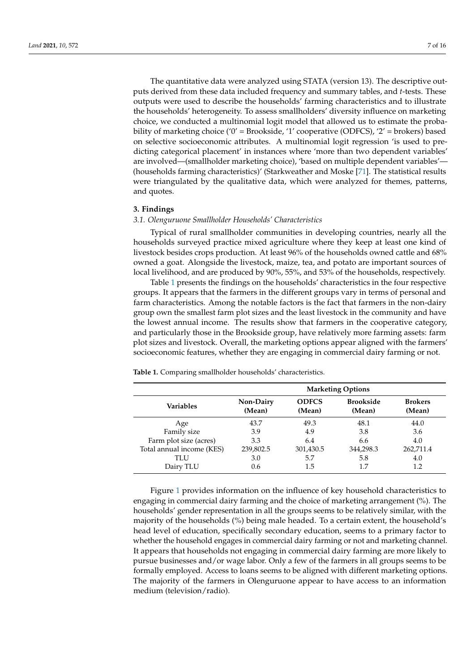The quantitative data were analyzed using STATA (version 13). The descriptive outputs derived from these data included frequency and summary tables, and *t*-tests. These outputs were used to describe the households' farming characteristics and to illustrate the households' heterogeneity. To assess smallholders' diversity influence on marketing choice, we conducted a multinomial logit model that allowed us to estimate the probability of marketing choice ('0' = Brookside, '1' cooperative (ODFCS), '2' = brokers) based on selective socioeconomic attributes. A multinomial logit regression 'is used to predicting categorical placement' in instances where 'more than two dependent variables' are involved—(smallholder marketing choice), 'based on multiple dependent variables'— (households farming characteristics)' (Starkweather and Moske [\[71\]](#page-14-18). The statistical results were triangulated by the qualitative data, which were analyzed for themes, patterns, and quotes.

#### **3. Findings**

#### *3.1. Olenguruone Smallholder Households' Characteristics*

Typical of rural smallholder communities in developing countries, nearly all the households surveyed practice mixed agriculture where they keep at least one kind of livestock besides crops production. At least 96% of the households owned cattle and 68% owned a goat. Alongside the livestock, maize, tea, and potato are important sources of local livelihood, and are produced by 90%, 55%, and 53% of the households, respectively.

Table [1](#page-6-0) presents the findings on the households' characteristics in the four respective groups. It appears that the farmers in the different groups vary in terms of personal and farm characteristics. Among the notable factors is the fact that farmers in the non-dairy group own the smallest farm plot sizes and the least livestock in the community and have the lowest annual income. The results show that farmers in the cooperative category, and particularly those in the Brookside group, have relatively more farming assets: farm plot sizes and livestock. Overall, the marketing options appear aligned with the farmers' socioeconomic features, whether they are engaging in commercial dairy farming or not.

|                           | <b>Marketing Options</b>   |                        |                            |                          |  |  |
|---------------------------|----------------------------|------------------------|----------------------------|--------------------------|--|--|
| Variables                 | <b>Non-Dairy</b><br>(Mean) | <b>ODFCS</b><br>(Mean) | <b>Brookside</b><br>(Mean) | <b>Brokers</b><br>(Mean) |  |  |
| Age                       | 43.7                       | 49.3                   | 48.1                       | 44.0                     |  |  |
| Family size               | 3.9                        | 4.9                    | 3.8                        | 3.6                      |  |  |
| Farm plot size (acres)    | 3.3                        | 6.4                    | 6.6                        | 4.0                      |  |  |
| Total annual income (KES) | 239,802.5                  | 301,430.5              | 344,298.3                  | 262,711.4                |  |  |
| TLU                       | 3.0                        | 5.7                    | 5.8                        | 4.0                      |  |  |
| Dairy TLU                 | 0.6                        | 1.5                    |                            | 1.2                      |  |  |

<span id="page-6-0"></span>**Table 1.** Comparing smallholder households' characteristics.

Figure [1](#page-7-0) provides information on the influence of key household characteristics to engaging in commercial dairy farming and the choice of marketing arrangement (%). The households' gender representation in all the groups seems to be relatively similar, with the majority of the households (%) being male headed. To a certain extent, the household's head level of education, specifically secondary education, seems to a primary factor to whether the household engages in commercial dairy farming or not and marketing channel. It appears that households not engaging in commercial dairy farming are more likely to pursue businesses and/or wage labor. Only a few of the farmers in all groups seems to be formally employed. Access to loans seems to be aligned with different marketing options. The majority of the farmers in Olenguruone appear to have access to an information medium (television/radio).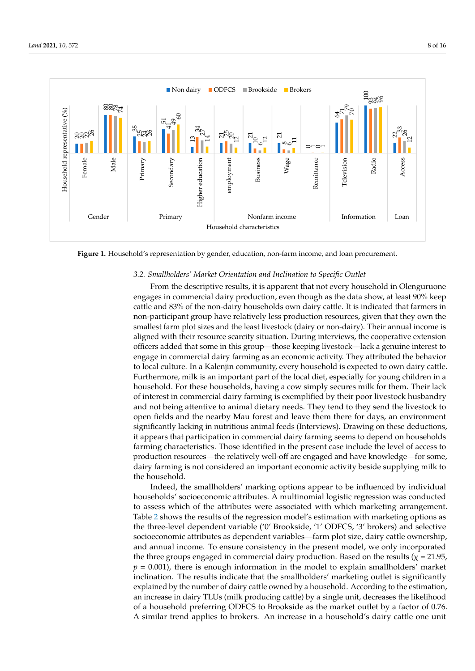<span id="page-7-0"></span>

**Figure 1.** Household's representation by gender, education, non-farm income, and loan procurement*.* **Figure 1.** Household's representation by gender, education, non-farm income, and loan procurement.

# *3.2. Smallholders' Market Orientation and Inclination to Specific Outlet 3.2. Smallholders' Market Orientation and Inclination to Specific Outlet*

From the descriptive results, it is apparent that not every household in Olenguruone From the descriptive results, it is apparent that not every household in Olenguruone engages in commercial dairy production, even though as the data show, at least 90% keep engages in commercial dairy production, even though as the data show, at least 90% keep cattle and 83% of the non-dairy households own dairy cattle. It is indicated that farmers cattle and 83% of the non-dairy households own dairy cattle. It is indicated that farmers in in non-participant group have relatively less production resources, given that they own non-participant group have relatively less production resources, given that they own the smallest farm plot sizes and the least livestock (dairy or non-dairy). Their annual income is aligned with their resource scarcity situation. During interviews, the cooperative extension officers added that some in this group—those keeping livestock—lack a genuine interest to engage in commercial dairy farming as an economic activity. They attributed the behavior to local culture. In a Kalenjin community, every household is expected to own dairy cattle. Furthermore, milk is an important part of the local diet, especially for young children in a household. For these households, having a cow simply secures milk for them. Their lack of interest in commercial dairy farming is exemplified by their poor livestock husbandry and not being attentive to animal dietary needs. They tend to they send the livestock to open fields and the nearby Mau forest and leave them there for days, an environment significantly lacking in nutritious animal feeds (Interviews). Drawing on these deductions, it appears that participation in commercial dairy farming seems to depend on households farming characteristics. Those identified in the present case include the level of access to production resources—the relatively well-off are engaged and have knowledge—for some, dairy farming is not considered an important economic activity beside supplying milk to the household.

marketing options. The majority of the farmers in Olenguruone appear to have access to

Indeed, the smallholders' marking options appear to be influenced by individual Indeed, the smallholders' marking options appear to be influenced by individual households' socioeconomic attributes. A multinomial logistic regression was conducted households' socioeconomic attributes. A multinomial logistic regression was conducted to assess which of the attributes were associated with which marketing arrangement. to assess which of the attributes were associated with which marketing arrangement. Table [2](#page-8-0) shows the results of the regression model's estimation with marketing options as Table 2 shows the results of the regression model's estimation with marketing options as the three-level dependent variable ('0' Brookside, '1' ODFCS, '3' brokers) and selective socioeconomic attributes as dependent variables—farm plot size, dairy cattle ownership, and annual income. To ensure consistency in the present model, we only incorporated the three groups engaged in commercial dairy production. Based on the results ( $\chi$  = 21.95,  $p = 0.001$ ), there is enough information in the model to explain smallholders' market inclination. The results indicate that the smallholders' marketing outlet is significantly explained by the number of dairy cattle owned by a household. According to the estimation, an increase in dairy TLUs (milk producing cattle) by a single unit, decreases the likelihood of a household preferring ODFCS to Brookside as the market outlet by a factor of 0.76. A similar trend applies to brokers. An increase in a household's dairy cattle one unit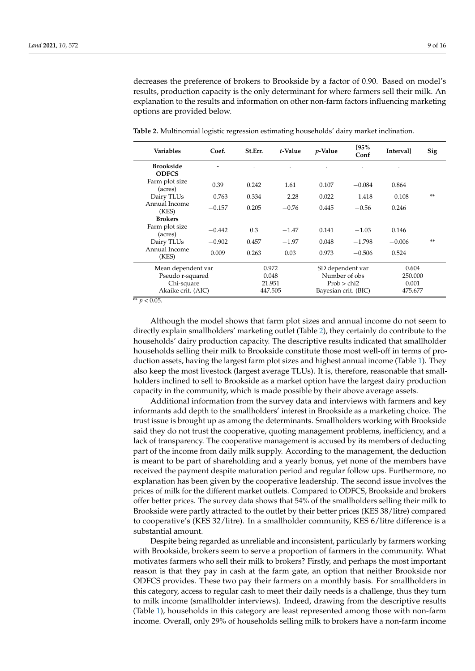decreases the preference of brokers to Brookside by a factor of 0.90. Based on model's results, production capacity is the only determinant for where farmers sell their milk. An explanation to the results and information on other non-farm factors influencing marketing options are provided below.

| <b>Variables</b>                 | Coef.    | St.Err. | t-Value | <i>p</i> -Value      | [95%<br>Conf | <b>Intervall</b> | Sig |
|----------------------------------|----------|---------|---------|----------------------|--------------|------------------|-----|
| <b>Brookside</b><br><b>ODFCS</b> |          |         |         |                      |              | $\bullet$        |     |
| Farm plot size<br>(acres)        | 0.39     | 0.242   | 1.61    | 0.107                | $-0.084$     | 0.864            |     |
| Dairy TLUs                       | $-0.763$ | 0.334   | $-2.28$ | 0.022                | $-1.418$     | $-0.108$         | **  |
| Annual Income<br>(KES)           | $-0.157$ | 0.205   | $-0.76$ | 0.445                | $-0.56$      | 0.246            |     |
| <b>Brokers</b>                   |          |         |         |                      |              |                  |     |
| Farm plot size<br>(acres)        | $-0.442$ | 0.3     | $-1.47$ | 0.141                | $-1.03$      | 0.146            |     |
| Dairy TLUs                       | $-0.902$ | 0.457   | $-1.97$ | 0.048                | $-1.798$     | $-0.006$         | **  |
| Annual Income<br>(KES)           | 0.009    | 0.263   | 0.03    | 0.973                | $-0.506$     | 0.524            |     |
| Mean dependent var               |          |         | 0.972   | SD dependent var     |              | 0.604            |     |
| Pseudo r-squared                 |          |         | 0.048   | Number of obs        |              | 250.000          |     |
| Chi-square                       |          |         | 21.951  | Prob > chi2          |              | 0.001            |     |
| Akaike crit. (AIC)               |          |         | 447.505 | Bayesian crit. (BIC) |              | 475.677          |     |

<span id="page-8-0"></span>**Table 2.** Multinomial logistic regression estimating households' dairy market inclination.

 $*$ <sup>\*</sup> *p* < 0.05.

Although the model shows that farm plot sizes and annual income do not seem to directly explain smallholders' marketing outlet (Table [2\)](#page-8-0), they certainly do contribute to the households' dairy production capacity. The descriptive results indicated that smallholder households selling their milk to Brookside constitute those most well-off in terms of production assets, having the largest farm plot sizes and highest annual income (Table [1\)](#page-6-0). They also keep the most livestock (largest average TLUs). It is, therefore, reasonable that smallholders inclined to sell to Brookside as a market option have the largest dairy production capacity in the community, which is made possible by their above average assets.

Additional information from the survey data and interviews with farmers and key informants add depth to the smallholders' interest in Brookside as a marketing choice. The trust issue is brought up as among the determinants. Smallholders working with Brookside said they do not trust the cooperative, quoting management problems, inefficiency, and a lack of transparency. The cooperative management is accused by its members of deducting part of the income from daily milk supply. According to the management, the deduction is meant to be part of shareholding and a yearly bonus, yet none of the members have received the payment despite maturation period and regular follow ups. Furthermore, no explanation has been given by the cooperative leadership. The second issue involves the prices of milk for the different market outlets. Compared to ODFCS, Brookside and brokers offer better prices. The survey data shows that 54% of the smallholders selling their milk to Brookside were partly attracted to the outlet by their better prices (KES 38/litre) compared to cooperative's (KES 32/litre). In a smallholder community, KES 6/litre difference is a substantial amount.

Despite being regarded as unreliable and inconsistent, particularly by farmers working with Brookside, brokers seem to serve a proportion of farmers in the community. What motivates farmers who sell their milk to brokers? Firstly, and perhaps the most important reason is that they pay in cash at the farm gate, an option that neither Brookside nor ODFCS provides. These two pay their farmers on a monthly basis. For smallholders in this category, access to regular cash to meet their daily needs is a challenge, thus they turn to milk income (smallholder interviews). Indeed, drawing from the descriptive results (Table [1\)](#page-6-0), households in this category are least represented among those with non-farm income. Overall, only 29% of households selling milk to brokers have a non-farm income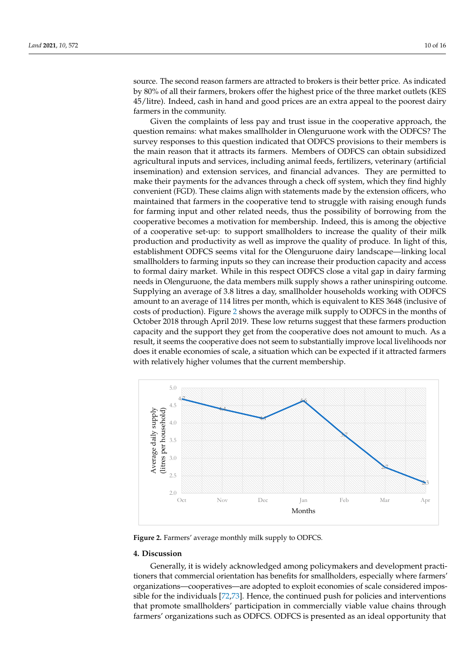source. The second reason farmers are attracted to brokers is their better price. As indicated by 80% of all their farmers, brokers offer the highest price of the three market outlets (KES 45/litre). Indeed, cash in hand and good prices are an extra appeal to the poorest dairy farmers in the community.

Given the complaints of less pay and trust issue in the cooperative approach, the question remains: what makes smallholder in Olenguruone work with the ODFCS? The survey responses to this question indicated that ODFCS provisions to their members is the main reason that it attracts its farmers. Members of ODFCS can obtain subsidized agricultural inputs and services, including animal feeds, fertilizers, veterinary (artificial insemination) and extension services, and financial advances. They are permitted to make their payments for the advances through a check off system, which they find highly convenient (FGD). These claims align with statements made by the extension officers, who maintained that farmers in the cooperative tend to struggle with raising enough funds for farming input and other related needs, thus the possibility of borrowing from the cooperative becomes a motivation for membership. Indeed, this is among the objective of a cooperative set-up: to support smallholders to increase the quality of their milk production and productivity as well as improve the quality of produce. In light of this, establishment ODFCS seems vital for the Olenguruone dairy landscape—linking local smallholders to farming inputs so they can increase their production capacity and access to formal dairy market. While in this respect ODFCS close a vital gap in dairy farming needs in Olenguruone, the data members milk supply shows a rather uninspiring outcome. Supplying an average of 3.8 litres a day, smallholder households working with ODFCS amount to an average of 114 litres per month, which is equivalent to KES 3648 (inclusive of costs of production). Figure [2](#page-9-0) shows the average milk supply to ODFCS in the months of October 2018 through April 2019. These low returns suggest that these farmers production capacity and the support they get from the cooperative does not amount to much. As a result, it seems the cooperative does not seem to substantially improve local livelihoods nor does it enable economies of scale, a situation which can be expected if it attracted farmers *Land* **2021**, *10*, x FOR PEER REVIEW 11 of 16 with relatively higher volumes that the current membership.

<span id="page-9-0"></span>

**Figure 2.** Farmers' average monthly milk supply to ODFCS. **Figure 2.** Farmers' average monthly milk supply to ODFCS.

#### **4. Discussion 4. Discussion**

Generally, it is widely acknowledged among policymakers and development Generally, it is widely acknowledged among policymakers and development practitioners that commercial orientation has benefits for smallholders, especially where farmers' organizations—cooperatives—are adopted to exploit economies of scale considered impossible f[or](#page-14-19) [the](#page-14-20) individuals [72,73]. Hence, the continued push for policies and interventions that promote smallholders' participation in commercially viable value chains through farmers' organizations such as ODFCS. ODFCS is presented as an ideal opportunity that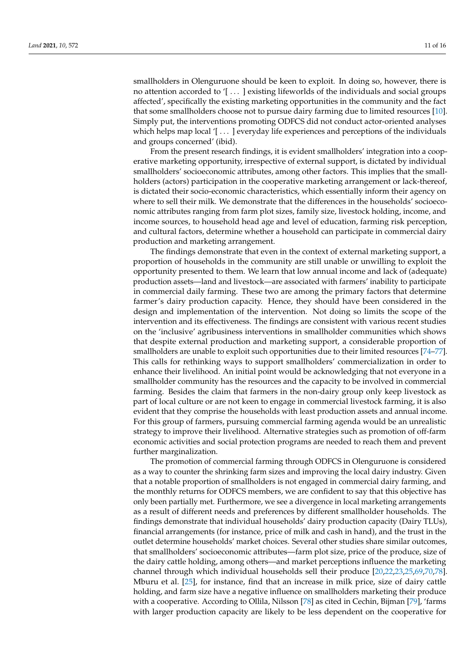smallholders in Olenguruone should be keen to exploit. In doing so, however, there is no attention accorded to '[ . . . ] existing lifeworlds of the individuals and social groups affected', specifically the existing marketing opportunities in the community and the fact that some smallholders choose not to pursue dairy farming due to limited resources [\[10\]](#page-12-9). Simply put, the interventions promoting ODFCS did not conduct actor-oriented analyses which helps map local  $[$   $\dots$   $]$  everyday life experiences and perceptions of the individuals and groups concerned' (ibid).

From the present research findings, it is evident smallholders' integration into a cooperative marketing opportunity, irrespective of external support, is dictated by individual smallholders' socioeconomic attributes, among other factors. This implies that the smallholders (actors) participation in the cooperative marketing arrangement or lack-thereof, is dictated their socio-economic characteristics, which essentially inform their agency on where to sell their milk. We demonstrate that the differences in the households' socioeconomic attributes ranging from farm plot sizes, family size, livestock holding, income, and income sources, to household head age and level of education, farming risk perception, and cultural factors, determine whether a household can participate in commercial dairy production and marketing arrangement.

The findings demonstrate that even in the context of external marketing support, a proportion of households in the community are still unable or unwilling to exploit the opportunity presented to them. We learn that low annual income and lack of (adequate) production assets—land and livestock—are associated with farmers' inability to participate in commercial daily farming. These two are among the primary factors that determine farmer's dairy production capacity. Hence, they should have been considered in the design and implementation of the intervention. Not doing so limits the scope of the intervention and its effectiveness. The findings are consistent with various recent studies on the 'inclusive' agribusiness interventions in smallholder communities which shows that despite external production and marketing support, a considerable proportion of smallholders are unable to exploit such opportunities due to their limited resources [\[74](#page-14-21)[–77\]](#page-14-22). This calls for rethinking ways to support smallholders' commercialization in order to enhance their livelihood. An initial point would be acknowledging that not everyone in a smallholder community has the resources and the capacity to be involved in commercial farming. Besides the claim that farmers in the non-dairy group only keep livestock as part of local culture or are not keen to engage in commercial livestock farming, it is also evident that they comprise the households with least production assets and annual income. For this group of farmers, pursuing commercial farming agenda would be an unrealistic strategy to improve their livelihood. Alternative strategies such as promotion of off-farm economic activities and social protection programs are needed to reach them and prevent further marginalization.

The promotion of commercial farming through ODFCS in Olenguruone is considered as a way to counter the shrinking farm sizes and improving the local dairy industry. Given that a notable proportion of smallholders is not engaged in commercial dairy farming, and the monthly returns for ODFCS members, we are confident to say that this objective has only been partially met. Furthermore, we see a divergence in local marketing arrangements as a result of different needs and preferences by different smallholder households. The findings demonstrate that individual households' dairy production capacity (Dairy TLUs), financial arrangements (for instance, price of milk and cash in hand), and the trust in the outlet determine households' market choices. Several other studies share similar outcomes, that smallholders' socioeconomic attributes—farm plot size, price of the produce, size of the dairy cattle holding, among others—and market perceptions influence the marketing channel through which individual households sell their produce [\[20,](#page-12-18)[22,](#page-13-0)[23,](#page-13-1)[25,](#page-13-2)[69,](#page-14-17)[70,](#page-14-16)[78\]](#page-14-23). Mburu et al. [\[25\]](#page-13-2), for instance, find that an increase in milk price, size of dairy cattle holding, and farm size have a negative influence on smallholders marketing their produce with a cooperative. According to Ollila, Nilsson [\[78\]](#page-14-23) as cited in Cechin, Bijman [\[79\]](#page-14-24), 'farms with larger production capacity are likely to be less dependent on the cooperative for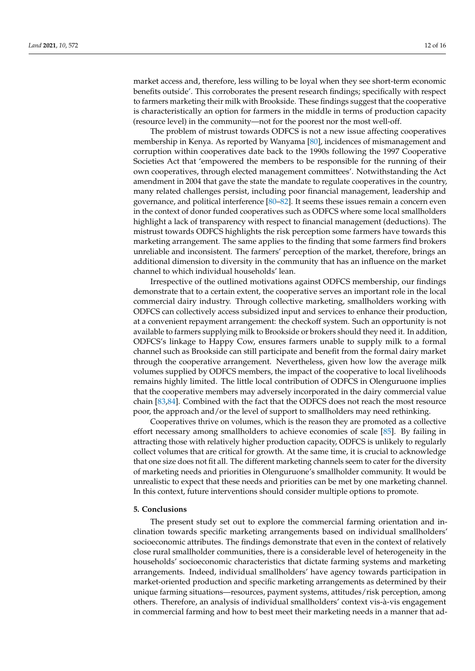market access and, therefore, less willing to be loyal when they see short-term economic benefits outside'. This corroborates the present research findings; specifically with respect to farmers marketing their milk with Brookside. These findings suggest that the cooperative is characteristically an option for farmers in the middle in terms of production capacity (resource level) in the community—not for the poorest nor the most well-off.

The problem of mistrust towards ODFCS is not a new issue affecting cooperatives membership in Kenya. As reported by Wanyama [\[80\]](#page-14-25), incidences of mismanagement and corruption within cooperatives date back to the 1990s following the 1997 Cooperative Societies Act that 'empowered the members to be responsible for the running of their own cooperatives, through elected management committees'. Notwithstanding the Act amendment in 2004 that gave the state the mandate to regulate cooperatives in the country, many related challenges persist, including poor financial management, leadership and governance, and political interference [\[80](#page-14-25)[–82\]](#page-14-26). It seems these issues remain a concern even in the context of donor funded cooperatives such as ODFCS where some local smallholders highlight a lack of transparency with respect to financial management (deductions). The mistrust towards ODFCS highlights the risk perception some farmers have towards this marketing arrangement. The same applies to the finding that some farmers find brokers unreliable and inconsistent. The farmers' perception of the market, therefore, brings an additional dimension to diversity in the community that has an influence on the market channel to which individual households' lean.

Irrespective of the outlined motivations against ODFCS membership, our findings demonstrate that to a certain extent, the cooperative serves an important role in the local commercial dairy industry. Through collective marketing, smallholders working with ODFCS can collectively access subsidized input and services to enhance their production, at a convenient repayment arrangement: the checkoff system. Such an opportunity is not available to farmers supplying milk to Brookside or brokers should they need it. In addition, ODFCS's linkage to Happy Cow, ensures farmers unable to supply milk to a formal channel such as Brookside can still participate and benefit from the formal dairy market through the cooperative arrangement. Nevertheless, given how low the average milk volumes supplied by ODFCS members, the impact of the cooperative to local livelihoods remains highly limited. The little local contribution of ODFCS in Olenguruone implies that the cooperative members may adversely incorporated in the dairy commercial value chain [\[83,](#page-14-27)[84\]](#page-15-0). Combined with the fact that the ODFCS does not reach the most resource poor, the approach and/or the level of support to smallholders may need rethinking.

Cooperatives thrive on volumes, which is the reason they are promoted as a collective effort necessary among smallholders to achieve economies of scale [\[85\]](#page-15-1). By failing in attracting those with relatively higher production capacity, ODFCS is unlikely to regularly collect volumes that are critical for growth. At the same time, it is crucial to acknowledge that one size does not fit all. The different marketing channels seem to cater for the diversity of marketing needs and priorities in Olenguruone's smallholder community. It would be unrealistic to expect that these needs and priorities can be met by one marketing channel. In this context, future interventions should consider multiple options to promote.

# **5. Conclusions**

The present study set out to explore the commercial farming orientation and inclination towards specific marketing arrangements based on individual smallholders' socioeconomic attributes. The findings demonstrate that even in the context of relatively close rural smallholder communities, there is a considerable level of heterogeneity in the households' socioeconomic characteristics that dictate farming systems and marketing arrangements. Indeed, individual smallholders' have agency towards participation in market-oriented production and specific marketing arrangements as determined by their unique farming situations—resources, payment systems, attitudes/risk perception, among others. Therefore, an analysis of individual smallholders' context vis-à-vis engagement in commercial farming and how to best meet their marketing needs in a manner that ad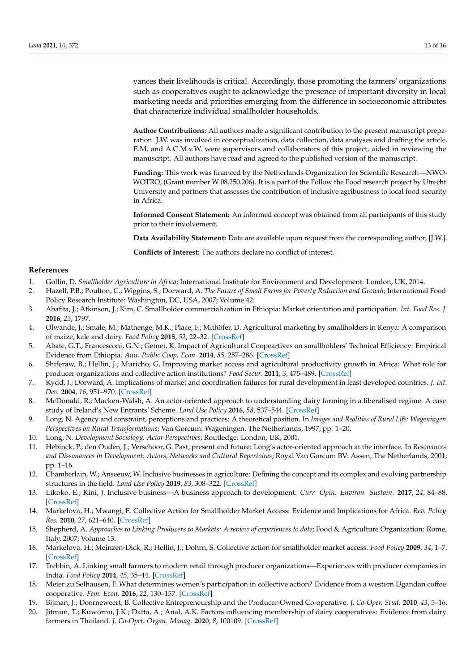vances their livelihoods is critical. Accordingly, those promoting the farmers' organizations such as cooperatives ought to acknowledge the presence of important diversity in local marketing needs and priorities emerging from the difference in socioeconomic attributes that characterize individual smallholder households.

**Author Contributions:** All authors made a significant contribution to the present manuscript preparation. J.W. was involved in conceptualization, data collection, data analyses and drafting the article. E.M. and A.C.M.v.W. were supervisors and collaborators of this project, aided in reviewing the manuscript. All authors have read and agreed to the published version of the manuscript.

**Funding:** This work was financed by the Netherlands Organization for Scientific Research—NWO-WOTRO, (Grant number W 08.250.206). It is a part of the Follow the Food research project by Utrecht University and partners that assesses the contribution of inclusive agribusiness to local food security in Africa.

**Informed Consent Statement:** An informed concept was obtained from all participants of this study prior to their involvement.

**Data Availability Statement:** Data are available upon request from the corresponding author, [J.W.].

**Conflicts of Interest:** The authors declare no conflict of interest.

#### **References**

- <span id="page-12-0"></span>1. Gollin, D. *Smallholder Agriculture in Africa*; International Institute for Environment and Development: London, UK, 2014.
- <span id="page-12-1"></span>2. Hazell, P.B.; Poulton, C.; Wiggins, S.; Dorward, A. *The Future of Small Farms for Poverty Reduction and Growth*; International Food Policy Research Institute: Washington, DC, USA, 2007; Volume 42.
- <span id="page-12-2"></span>3. Abafita, J.; Atkinson, J.; Kim, C. Smallholder commercialization in Ethiopia: Market orientation and participation. *Int. Food Res. J.* **2016**, *23*, 1797.
- <span id="page-12-3"></span>4. Olwande, J.; Smale, M.; Mathenge, M.K.; Place, F.; Mithöfer, D. Agricultural marketing by smallholders in Kenya: A comparison of maize, kale and dairy. *Food Policy* **2015**, *52*, 22–32. [\[CrossRef\]](http://doi.org/10.1016/j.foodpol.2015.02.002)
- <span id="page-12-4"></span>5. Abate, G.T.; Francesconi, G.N.; Getnet, K. Impact of Agricultural Coopeartives on smallholders' Technical Efficiency: Empirical Evidence from Ethiopia. *Ann. Public Coop. Econ.* **2014**, *85*, 257–286. [\[CrossRef\]](http://doi.org/10.1111/apce.12035)
- <span id="page-12-5"></span>6. Shiferaw, B.; Hellin, J.; Muricho, G. Improving market access and agricultural productivity growth in Africa: What role for producer organizations and collective action institutions? *Food Secur.* **2011**, *3*, 475–489. [\[CrossRef\]](http://doi.org/10.1007/s12571-011-0153-0)
- <span id="page-12-6"></span>7. Kydd, J.; Dorward, A. Implications of market and coordination failures for rural development in least developed countries. *J. Int. Dev.* **2004**, *16*, 951–970. [\[CrossRef\]](http://doi.org/10.1002/jid.1157)
- <span id="page-12-7"></span>8. McDonald, R.; Macken-Walsh, A. An actor-oriented approach to understanding dairy farming in a liberalised regime: A case study of Ireland's New Entrants' Scheme. *Land Use Policy* **2016**, *58*, 537–544. [\[CrossRef\]](http://doi.org/10.1016/j.landusepol.2016.08.025)
- <span id="page-12-8"></span>9. Long, N. Agency and constraint, perceptions and practices: A theoretical position. In *Images and Realities of Rural Life: Wageningen Perspectives on Rural Transformations*; Van Gorcum: Wageningen, The Netherlands, 1997; pp. 1–20.
- <span id="page-12-9"></span>10. Long, N. *Development Sociology: Actor Perspectives*; Routledge: London, UK, 2001.
- <span id="page-12-10"></span>11. Hebinck, P.; den Ouden, J.; Verschoor, G. Past, present and future: Long's actor-oriented approach at the interface. In *Resonances and Dissonances in Development: Actors, Networks and Cultural Repertoires*; Royal Van Gorcum BV: Assen, The Netherlands, 2001; pp. 1–16.
- <span id="page-12-11"></span>12. Chamberlain, W.; Anseeuw, W. Inclusive businesses in agriculture: Defining the concept and its complex and evolving partnership structures in the field. *Land Use Policy* **2019**, *83*, 308–322. [\[CrossRef\]](http://doi.org/10.1016/j.landusepol.2019.02.008)
- <span id="page-12-12"></span>13. Likoko, E.; Kini, J. Inclusive business—A business approach to development. *Curr. Opin. Environ. Sustain.* **2017**, *24*, 84–88. [\[CrossRef\]](http://doi.org/10.1016/j.cosust.2017.03.001)
- <span id="page-12-13"></span>14. Markelova, H.; Mwangi, E. Collective Action for Smallholder Market Access: Evidence and Implications for Africa. *Rev. Policy Res.* **2010**, *27*, 621–640. [\[CrossRef\]](http://doi.org/10.1111/j.1541-1338.2010.00462.x)
- 15. Shepherd, A. *Approaches to Linking Producers to Markets: A review of experiences to date*; Food & Agriculture Organization: Rome, Italy, 2007; Volume 13.
- <span id="page-12-14"></span>16. Markelova, H.; Meinzen-Dick, R.; Hellin, J.; Dohrn, S. Collective action for smallholder market access. *Food Policy* **2009**, *34*, 1–7. [\[CrossRef\]](http://doi.org/10.1016/j.foodpol.2008.10.001)
- <span id="page-12-15"></span>17. Trebbin, A. Linking small farmers to modern retail through producer organizations—Experiences with producer companies in India. *Food Policy* **2014**, *45*, 35–44. [\[CrossRef\]](http://doi.org/10.1016/j.foodpol.2013.12.007)
- <span id="page-12-16"></span>18. Meier zu Selhausen, F. What determines women's participation in collective action? Evidence from a western Ugandan coffee cooperative. *Fem. Econ.* **2016**, *22*, 130–157. [\[CrossRef\]](http://doi.org/10.1080/13545701.2015.1088960)
- <span id="page-12-17"></span>19. Bijman, J.; Doorneweert, B. Collective Entrepreneurship and the Producer-Owned Co-operative. *J. Co-Oper. Stud.* **2010**, *43*, 5–16.
- <span id="page-12-18"></span>20. Jitmun, T.; Kuwornu, J.K.; Datta, A.; Anal, A.K. Factors influencing membership of dairy cooperatives: Evidence from dairy farmers in Thailand. *J. Co-Oper. Organ. Manag.* **2020**, *8*, 100109. [\[CrossRef\]](http://doi.org/10.1016/j.jcom.2020.100109)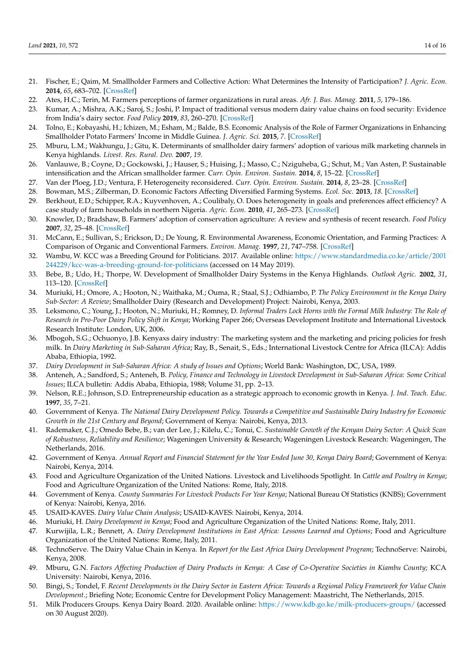- 21. Fischer, E.; Qaim, M. Smallholder Farmers and Collective Action: What Determines the Intensity of Participation? *J. Agric. Econ.* **2014**, *65*, 683–702. [\[CrossRef\]](http://doi.org/10.1111/1477-9552.12060)
- <span id="page-13-0"></span>22. Ates, H.C.; Terin, M. Farmers perceptions of farmer organizations in rural areas. *Afr. J. Bus. Manag.* **2011**, *5*, 179–186.
- <span id="page-13-1"></span>23. Kumar, A.; Mishra, A.K.; Saroj, S.; Joshi, P. Impact of traditional versus modern dairy value chains on food security: Evidence from India's dairy sector. *Food Policy* **2019**, *83*, 260–270. [\[CrossRef\]](http://doi.org/10.1016/j.foodpol.2019.01.010)
- 24. Tolno, E.; Kobayashi, H.; Ichizen, M.; Esham, M.; Balde, B.S. Economic Analysis of the Role of Farmer Organizations in Enhancing Smallholder Potato Farmers' Income in Middle Guinea. *J. Agric. Sci.* **2015**, *7*. [\[CrossRef\]](http://doi.org/10.5539/jas.v7n3p123)
- <span id="page-13-2"></span>25. Mburu, L.M.; Wakhungu, J.; Gitu, K. Determinants of smallholder dairy farmers' adoption of various milk marketing channels in Kenya highlands. *Livest. Res. Rural. Dev.* **2007**, *19*.
- <span id="page-13-3"></span>26. Vanlauwe, B.; Coyne, D.; Gockowski, J.; Hauser, S.; Huising, J.; Masso, C.; Nziguheba, G.; Schut, M.; Van Asten, P. Sustainable intensification and the African smallholder farmer. *Curr. Opin. Environ. Sustain.* **2014**, *8*, 15–22. [\[CrossRef\]](http://doi.org/10.1016/j.cosust.2014.06.001)
- 27. Van der Ploeg, J.D.; Ventura, F. Heterogeneity reconsidered. *Curr. Opin. Environ. Sustain.* **2014**, *8*, 23–28. [\[CrossRef\]](http://doi.org/10.1016/j.cosust.2014.07.001)
- <span id="page-13-5"></span>28. Bowman, M.S.; Zilberman, D. Economic Factors Affecting Diversified Farming Systems. *Ecol. Soc.* **2013**, *18*. [\[CrossRef\]](http://doi.org/10.5751/ES-05574-180133)
- <span id="page-13-4"></span>29. Berkhout, E.D.; Schipper, R.A.; Kuyvenhoven, A.; Coulibaly, O. Does heterogeneity in goals and preferences affect efficiency? A case study of farm households in northern Nigeria. *Agric. Econ.* **2010**, *41*, 265–273. [\[CrossRef\]](http://doi.org/10.1111/j.1574-0862.2010.00449.x)
- <span id="page-13-6"></span>30. Knowler, D.; Bradshaw, B. Farmers' adoption of conservation agriculture: A review and synthesis of recent research. *Food Policy* **2007**, *32*, 25–48. [\[CrossRef\]](http://doi.org/10.1016/j.foodpol.2006.01.003)
- <span id="page-13-7"></span>31. McCann, E.; Sullivan, S.; Erickson, D.; De Young, R. Environmental Awareness, Economic Orientation, and Farming Practices: A Comparison of Organic and Conventional Farmers. *Environ. Manag.* **1997**, *21*, 747–758. [\[CrossRef\]](http://doi.org/10.1007/s002679900064)
- <span id="page-13-8"></span>32. Wambu, W. KCC was a Breeding Ground for Politicians. 2017. Available online: [https://www.standardmedia.co.ke/article/2001](https://www.standardmedia.co.ke/article/2001244229/kcc-was-a-breeding-ground-for-politicians) [244229/kcc-was-a-breeding-ground-for-politicians](https://www.standardmedia.co.ke/article/2001244229/kcc-was-a-breeding-ground-for-politicians) (accessed on 14 May 2019).
- <span id="page-13-9"></span>33. Bebe, B.; Udo, H.; Thorpe, W. Development of Smallholder Dairy Systems in the Kenya Highlands. *Outlook Agric.* **2002**, *31*, 113–120. [\[CrossRef\]](http://doi.org/10.5367/000000002101293958)
- <span id="page-13-10"></span>34. Muriuki, H.; Omore, A.; Hooton, N.; Waithaka, M.; Ouma, R.; Staal, S.J.; Odhiambo, P. *The Policy Environment in the Kenya Dairy Sub-Sector: A Review*; Smallholder Dairy (Research and Development) Project: Nairobi, Kenya, 2003.
- <span id="page-13-11"></span>35. Leksmono, C.; Young, J.; Hooton, N.; Muriuki, H.; Romney, D. *Informal Traders Lock Horns with the Formal Milk Industry: The Role of Research in Pro-Poor Dairy Policy Shift in Kenya*; Working Paper 266; Overseas Development Institute and International Livestock Research Institute: London, UK, 2006.
- <span id="page-13-12"></span>36. Mbogoh, S.G.; Ochuonyo, J.B. Kenyaxs dairy industry: The marketing system and the marketing and pricing policies for fresh milk. In *Dairy Marketing in Sub-Saharan Africa*; Ray, B., Senait, S., Eds.; International Livestock Centre for Africa (ILCA): Addis Ababa, Ethiopia, 1992.
- <span id="page-13-13"></span>37. *Dairy Development in Sub-Saharan Africa: A study of Issues and Options*; World Bank: Washington, DC, USA, 1989.
- <span id="page-13-14"></span>38. Anteneh, A.; Sandford, S.; Anteneh, B. *Policy, Finance and Technology in Livestock Development in Sub-Saharan Africa: Some Critical Issues*; ILCA bulletin: Addis Ababa, Ethiopia, 1988; Volume 31, pp. 2–13.
- <span id="page-13-15"></span>39. Nelson, R.E.; Johnson, S.D. Entrepreneurship education as a strategic approach to economic growth in Kenya. *J. Ind. Teach. Educ.* **1997**, *35*, 7–21.
- <span id="page-13-16"></span>40. Government of Kenya. *The National Dairy Development Policy. Towards a Competitive and Sustainable Dairy Industry for Economic Growth in the 21st Century and Beyond*; Government of Kenya: Nairobi, Kenya, 2013.
- <span id="page-13-17"></span>41. Rademaker, C.J.; Omedo Bebe, B.; van der Lee, J.; Kilelu, C.; Tonui, C. *Sustainable Growth of the Kenyan Dairy Sector: A Quick Scan of Robustness, Reliability and Resilience*; Wageningen University & Research; Wageningen Livestock Research: Wageningen, The Netherlands, 2016.
- <span id="page-13-18"></span>42. Government of Kenya. *Annual Report and Financial Statement for the Year Ended June 30, Kenya Dairy Board*; Government of Kenya: Nairobi, Kenya, 2014.
- <span id="page-13-19"></span>43. Food and Agriculture Organization of the United Nations. Livestock and Livelihoods Spotlight. In *Cattle and Poultry in Kenya*; Food and Agriculture Organization of the United Nations: Rome, Italy, 2018.
- <span id="page-13-20"></span>44. Government of Kenya. *County Summaries For Livestock Products For Year Kenya*; National Bureau Of Statistics (KNBS); Government of Kenya: Nairobi, Kenya, 2016.
- <span id="page-13-21"></span>45. USAID-KAVES. *Dairy Value Chain Analysis*; USAID-KAVES: Nairobi, Kenya, 2014.
- <span id="page-13-22"></span>46. Muriuki, H. *Dairy Development in Kenya*; Food and Agriculture Organization of the United Nations: Rome, Italy, 2011.
- 47. Kurwijila, L.R.; Bennett, A. *Dairy Development Institutions in East Africa: Lessons Learned and Options*; Food and Agriculture Organization of the United Nations: Rome, Italy, 2011.
- <span id="page-13-23"></span>48. TechnoServe. The Dairy Value Chain in Kenya. In *Report for the East Africa Dairy Development Program*; TechnoServe: Nairobi, Kenya, 2008.
- <span id="page-13-24"></span>49. Mburu, G.N. *Factors Affecting Production of Dairy Products in Kenya: A Case of Co-Operative Societies in Kiambu County*; KCA University: Nairobi, Kenya, 2016.
- <span id="page-13-25"></span>50. Bingi, S.; Tondel, F. *Recent Developments in the Dairy Sector in Eastern Africa: Towards a Regional Policy Framework for Value Chain Development.*; Briefing Note; Economic Centre for Development Policy Management: Maastricht, The Netherlands, 2015.
- <span id="page-13-26"></span>51. Milk Producers Groups. Kenya Dairy Board. 2020. Available online: <https://www.kdb.go.ke/milk-producers-groups/> (accessed on 30 August 2020).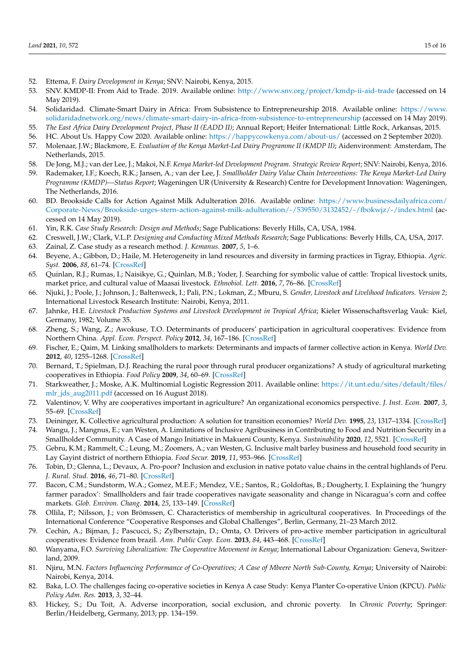- <span id="page-14-0"></span>52. Ettema, F. *Dairy Development in Kenya*; SNV: Nairobi, Kenya, 2015.
- <span id="page-14-1"></span>53. SNV. KMDP-II: From Aid to Trade. 2019. Available online: <http://www.snv.org/project/kmdp-ii-aid-trade> (accessed on 14 May 2019).
- 54. Solidaridad. Climate-Smart Dairy in Africa: From Subsistence to Entrepreneurship 2018. Available online: [https://www.](https://www.solidaridadnetwork.org/news/climate-smart-dairy-in-africa-from-subsistence-to-entrepreneurship) [solidaridadnetwork.org/news/climate-smart-dairy-in-africa-from-subsistence-to-entrepreneurship](https://www.solidaridadnetwork.org/news/climate-smart-dairy-in-africa-from-subsistence-to-entrepreneurship) (accessed on 14 May 2019).
- <span id="page-14-2"></span>55. *The East Africa Dairy Development Project, Phase II (EADD II)*; Annual Report; Heifer International: Little Rock, Arkansas, 2015.
- <span id="page-14-4"></span><span id="page-14-3"></span>56. HC. About Us. Happy Cow 2020. Available online: <https://happycowkenya.com/about-us/> (accessed on 2 September 2020). 57. Molenaar, J.W.; Blackmore, E. *Evaluation of the Kenya Market-Led Dairy Programme II (KMDP II)*; Aidenvironment: Amsterdam, The
- Netherlands, 2015.
- <span id="page-14-5"></span>58. De Jong, M.J.; van der Lee, J.; Makoi, N.F. *Kenya Market-led Development Program. Strategic Review Report*; SNV: Nairobi, Kenya, 2016.
- <span id="page-14-6"></span>59. Rademaker, I.F.; Koech, R.K.; Jansen, A.; van der Lee, J. *Smallholder Dairy Value Chain Interventions: The Kenya Market-Led Dairy Programme (KMDP)—Status Report*; Wageningen UR (University & Research) Centre for Development Innovation: Wageningen, The Netherlands, 2016.
- <span id="page-14-7"></span>60. BD. Brookside Calls for Action Against Milk Adulteration 2016. Available online: [https://www.businessdailyafrica.com/](https://www.businessdailyafrica.com/Corporate-News/Brookside-urges-stern-action-against-milk-adulteration/-/539550/3132452/-/fbokwjz/-/index.html) [Corporate-News/Brookside-urges-stern-action-against-milk-adulteration/-/539550/3132452/-/fbokwjz/-/index.html](https://www.businessdailyafrica.com/Corporate-News/Brookside-urges-stern-action-against-milk-adulteration/-/539550/3132452/-/fbokwjz/-/index.html) (accessed on 14 May 2019).
- <span id="page-14-8"></span>61. Yin, R.K. *Case Study Research: Design and Methods*; Sage Publications: Beverly Hills, CA, USA, 1984.
- <span id="page-14-9"></span>62. Creswell, J.W.; Clark, V.L.P. *Designing and Conducting Mixed Methods Research*; Sage Publications: Beverly Hills, CA, USA, 2017.
- <span id="page-14-10"></span>63. Zainal, Z. Case study as a research method. *J. Kemanus.* **2007**, *5*, 1–6.
- <span id="page-14-11"></span>64. Beyene, A.; Gibbon, D.; Haile, M. Heterogeneity in land resources and diversity in farming practices in Tigray, Ethiopia. *Agric. Syst.* **2006**, *88*, 61–74. [\[CrossRef\]](http://doi.org/10.1016/j.agsy.2005.06.004)
- <span id="page-14-12"></span>65. Quinlan, R.J.; Rumas, I.; Naisikye, G.; Quinlan, M.B.; Yoder, J. Searching for symbolic value of cattle: Tropical livestock units, market price, and cultural value of Maasai livestock. *Ethnobiol. Lett.* **2016**, *7*, 76–86. [\[CrossRef\]](http://doi.org/10.14237/ebl.7.1.2016.621)
- <span id="page-14-13"></span>66. Njuki, J.; Poole, J.; Johnson, J.; Baltenweck, I.; Pali, P.N.; Lokman, Z.; Mburu, S. *Gender, Livestock and Livelihood Indicators. Version 2*; International Livestock Research Institute: Nairobi, Kenya, 2011.
- <span id="page-14-14"></span>67. Jahnke, H.E. *Livestock Production Systems and Livestock Development in Tropical Africa*; Kieler Wissenschaftsverlag Vauk: Kiel, Germany, 1982; Volume 35.
- <span id="page-14-15"></span>68. Zheng, S.; Wang, Z.; Awokuse, T.O. Determinants of producers' participation in agricultural cooperatives: Evidence from Northern China. *Appl. Econ. Perspect. Policy* **2012**, *34*, 167–186. [\[CrossRef\]](http://doi.org/10.1093/aepp/ppr044)
- <span id="page-14-17"></span>69. Fischer, E.; Qaim, M. Linking smallholders to markets: Determinants and impacts of farmer collective action in Kenya. *World Dev.* **2012**, *40*, 1255–1268. [\[CrossRef\]](http://doi.org/10.1016/j.worlddev.2011.11.018)
- <span id="page-14-16"></span>70. Bernard, T.; Spielman, D.J. Reaching the rural poor through rural producer organizations? A study of agricultural marketing cooperatives in Ethiopia. *Food Policy* **2009**, *34*, 60–69. [\[CrossRef\]](http://doi.org/10.1016/j.foodpol.2008.08.001)
- <span id="page-14-18"></span>71. Starkweather, J.; Moske, A.K. Multinomial Logistic Regression 2011. Available online: [https://it.unt.edu/sites/default/files/](https://it.unt.edu/sites/default/files/mlr_jds_aug2011.pdf) [mlr\\_jds\\_aug2011.pdf](https://it.unt.edu/sites/default/files/mlr_jds_aug2011.pdf) (accessed on 16 August 2018).
- <span id="page-14-19"></span>72. Valentinov, V. Why are cooperatives important in agriculture? An organizational economics perspective. *J. Inst. Econ.* **2007**, *3*, 55–69. [\[CrossRef\]](http://doi.org/10.1017/S1744137406000555)
- <span id="page-14-20"></span>73. Deininger, K. Collective agricultural production: A solution for transition economies? *World Dev.* **1995**, *23*, 1317–1334. [\[CrossRef\]](http://doi.org/10.1016/0305-750X(95)00044-D)
- <span id="page-14-21"></span>74. Wangu, J.; Mangnus, E.; van Westen, A. Limitations of Inclusive Agribusiness in Contributing to Food and Nutrition Security in a Smallholder Community. A Case of Mango Initiative in Makueni County, Kenya. *Sustainability* **2020**, *12*, 5521. [\[CrossRef\]](http://doi.org/10.3390/su12145521)
- 75. Gebru, K.M.; Rammelt, C.; Leung, M.; Zoomers, A.; van Westen, G. Inclusive malt barley business and household food security in Lay Gayint district of northern Ethiopia. *Food Secur.* **2019**, *11*, 953–966. [\[CrossRef\]](http://doi.org/10.1007/s12571-019-00939-6)
- 76. Tobin, D.; Glenna, L.; Devaux, A. Pro-poor? Inclusion and exclusion in native potato value chains in the central highlands of Peru. *J. Rural. Stud.* **2016**, *46*, 71–80. [\[CrossRef\]](http://doi.org/10.1016/j.jrurstud.2016.06.002)
- <span id="page-14-22"></span>77. Bacon, C.M.; Sundstorm, W.A.; Gomez, M.E.F.; Mendez, V.E.; Santos, R.; Goldoftas, B.; Dougherty, I. Explaining the 'hungry farmer paradox': Smallholders and fair trade cooperatives navigate seasonality and change in Nicaragua's corn and coffee markets. *Glob. Environ. Chang.* **2014**, *25*, 133–149. [\[CrossRef\]](http://doi.org/10.1016/j.gloenvcha.2014.02.005)
- <span id="page-14-23"></span>78. Ollila, P.; Nilsson, J.; von Brömssen, C. Characteristics of membership in agricultural cooperatives. In Proceedings of the International Conference "Cooperative Responses and Global Challenges", Berlin, Germany, 21–23 March 2012.
- <span id="page-14-24"></span>79. Cechin, A.; Bijman, J.; Pascucci, S.; Zylbersztajn, D.; Omta, O. Drivers of pro-active member participation in agricultural cooperatives: Evidence from brazil. *Ann. Public Coop. Econ.* **2013**, *84*, 443–468. [\[CrossRef\]](http://doi.org/10.1111/apce.12023)
- <span id="page-14-25"></span>80. Wanyama, F.O. *Surviving Liberalization: The Cooperative Movement in Kenya*; International Labour Organization: Geneva, Switzerland, 2009.
- 81. Njiru, M.N. *Factors Influencing Performance of Co-Operatives; A Case of Mbeere North Sub-County, Kenya*; University of Nairobi: Nairobi, Kenya, 2014.
- <span id="page-14-26"></span>82. Baka, L.O. The challenges facing co-operative societies in Kenya A case Study: Kenya Planter Co-operative Union (KPCU). *Public Policy Adm. Res.* **2013**, *3*, 32–44.
- <span id="page-14-27"></span>83. Hickey, S.; Du Toit, A. Adverse incorporation, social exclusion, and chronic poverty. In *Chronic Poverty*; Springer: Berlin/Heidelberg, Germany, 2013; pp. 134–159.